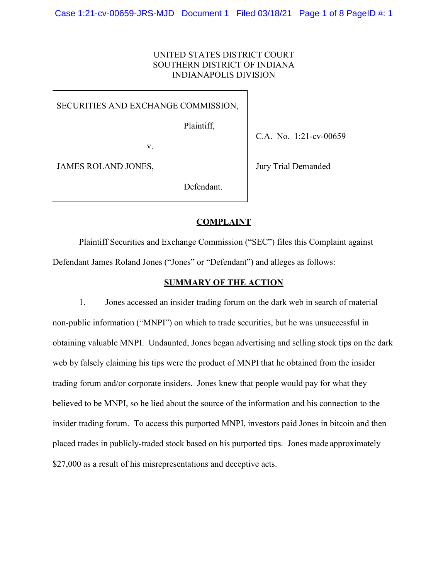# UNITED STATES DISTRICT COURT SOUTHERN DISTRICT OF INDIANA INDIANAPOLIS DIVISION

SECURITIES AND EXCHANGE COMMISSION,

Plaintiff,

C.A. No. 1:21-cv-00659

v.

JAMES ROLAND JONES,

Jury Trial Demanded

Defendant.

# **COMPLAINT**

Plaintiff Securities and Exchange Commission ("SEC") files this Complaint against Defendant James Roland Jones ("Jones" or "Defendant") and alleges as follows:

## **SUMMARY OF THE ACTION**

1. Jones accessed an insider trading forum on the dark web in search of material non-public information ("MNPI") on which to trade securities, but he was unsuccessful in obtaining valuable MNPI. Undaunted, Jones began advertising and selling stock tips on the dark web by falsely claiming his tips were the product of MNPI that he obtained from the insider trading forum and/or corporate insiders. Jones knew that people would pay for what they believed to be MNPI, so he lied about the source of the information and his connection to the insider trading forum. To access this purported MNPI, investors paid Jones in bitcoin and then placed trades in publicly-traded stock based on his purported tips. Jones made approximately \$27,000 as a result of his misrepresentations and deceptive acts.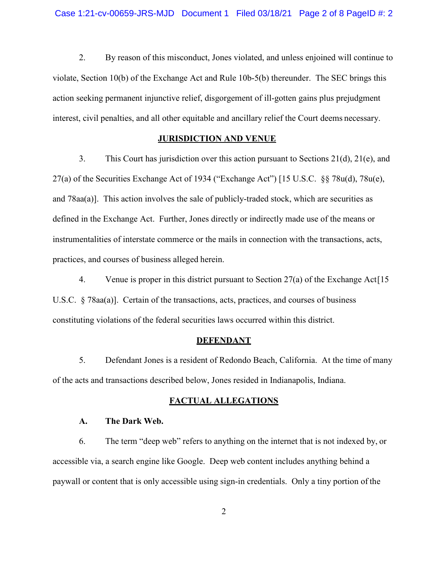2. By reason of this misconduct, Jones violated, and unless enjoined will continue to violate, Section 10(b) of the Exchange Act and Rule 10b-5(b) thereunder. The SEC brings this action seeking permanent injunctive relief, disgorgement of ill-gotten gains plus prejudgment interest, civil penalties, and all other equitable and ancillary relief the Court deems necessary.

## **JURISDICTION AND VENUE**

3. This Court has jurisdiction over this action pursuant to Sections 21(d), 21(e), and 27(a) of the Securities Exchange Act of 1934 ("Exchange Act") [15 U.S.C. §§ 78u(d), 78u(e), and 78aa(a)]. This action involves the sale of publicly-traded stock, which are securities as defined in the Exchange Act. Further, Jones directly or indirectly made use of the means or instrumentalities of interstate commerce or the mails in connection with the transactions, acts, practices, and courses of business alleged herein.

4. Venue is proper in this district pursuant to Section  $27(a)$  of the Exchange Act [15] U.S.C. § 78aa(a)]. Certain of the transactions, acts, practices, and courses of business constituting violations of the federal securities laws occurred within this district.

#### **DEFENDANT**

5. Defendant Jones is a resident of Redondo Beach, California. At the time of many of the acts and transactions described below, Jones resided in Indianapolis, Indiana.

## **FACTUAL ALLEGATIONS**

### **A. The Dark Web.**

6. The term "deep web" refers to anything on the internet that is not indexed by, or accessible via, a search engine like Google. Deep web content includes anything behind a paywall or content that is only accessible using sign-in credentials. Only a tiny portion of the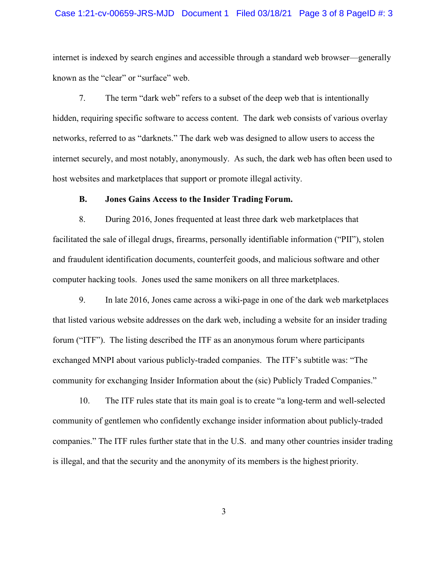### Case 1:21-cv-00659-JRS-MJD Document 1 Filed 03/18/21 Page 3 of 8 PageID #: 3

internet is indexed by search engines and accessible through a standard web browser—generally known as the "clear" or "surface" web.

7. The term "dark web" refers to a subset of the deep web that is intentionally hidden, requiring specific software to access content. The dark web consists of various overlay networks, referred to as "darknets." The dark web was designed to allow users to access the internet securely, and most notably, anonymously. As such, the dark web has often been used to host websites and marketplaces that support or promote illegal activity.

## **B. Jones Gains Access to the Insider Trading Forum.**

8. During 2016, Jones frequented at least three dark web marketplaces that facilitated the sale of illegal drugs, firearms, personally identifiable information ("PII"), stolen and fraudulent identification documents, counterfeit goods, and malicious software and other computer hacking tools. Jones used the same monikers on all three marketplaces.

9. In late 2016, Jones came across a wiki-page in one of the dark web marketplaces that listed various website addresses on the dark web, including a website for an insider trading forum ("ITF"). The listing described the ITF as an anonymous forum where participants exchanged MNPI about various publicly-traded companies. The ITF's subtitle was: "The community for exchanging Insider Information about the (sic) Publicly Traded Companies."

10. The ITF rules state that its main goal is to create "a long-term and well-selected community of gentlemen who confidently exchange insider information about publicly-traded companies." The ITF rules further state that in the U.S. and many other countries insider trading is illegal, and that the security and the anonymity of its members is the highest priority.

3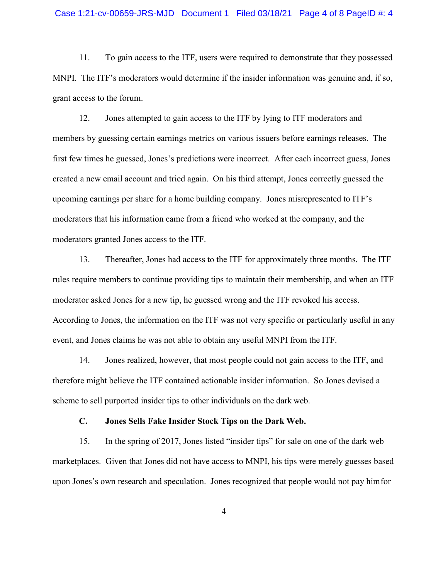11. To gain access to the ITF, users were required to demonstrate that they possessed MNPI. The ITF's moderators would determine if the insider information was genuine and, if so, grant access to the forum.

12. Jones attempted to gain access to the ITF by lying to ITF moderators and members by guessing certain earnings metrics on various issuers before earnings releases. The first few times he guessed, Jones's predictions were incorrect. After each incorrect guess, Jones created a new email account and tried again. On his third attempt, Jones correctly guessed the upcoming earnings per share for a home building company. Jones misrepresented to ITF's moderators that his information came from a friend who worked at the company, and the moderators granted Jones access to the ITF.

13. Thereafter, Jones had access to the ITF for approximately three months. The ITF rules require members to continue providing tips to maintain their membership, and when an ITF moderator asked Jones for a new tip, he guessed wrong and the ITF revoked his access. According to Jones, the information on the ITF was not very specific or particularly useful in any event, and Jones claims he was not able to obtain any useful MNPI from the ITF.

14. Jones realized, however, that most people could not gain access to the ITF, and therefore might believe the ITF contained actionable insider information. So Jones devised a scheme to sell purported insider tips to other individuals on the dark web.

## **C. Jones Sells Fake Insider Stock Tips on the Dark Web.**

15. In the spring of 2017, Jones listed "insider tips" for sale on one of the dark web marketplaces. Given that Jones did not have access to MNPI, his tips were merely guesses based upon Jones's own research and speculation. Jones recognized that people would not pay himfor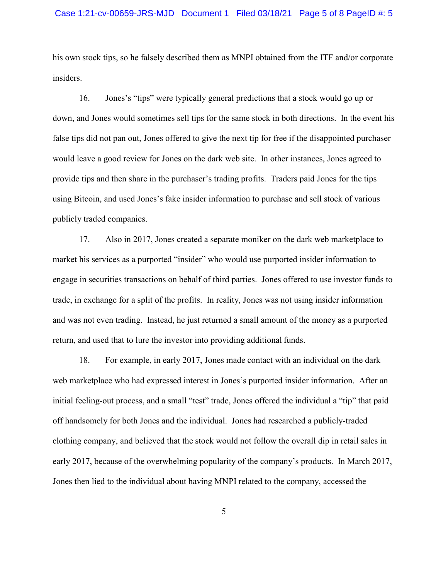his own stock tips, so he falsely described them as MNPI obtained from the ITF and/or corporate insiders.

16. Jones's "tips" were typically general predictions that a stock would go up or down, and Jones would sometimes sell tips for the same stock in both directions. In the event his false tips did not pan out, Jones offered to give the next tip for free if the disappointed purchaser would leave a good review for Jones on the dark web site. In other instances, Jones agreed to provide tips and then share in the purchaser's trading profits. Traders paid Jones for the tips using Bitcoin, and used Jones's fake insider information to purchase and sell stock of various publicly traded companies.

17. Also in 2017, Jones created a separate moniker on the dark web marketplace to market his services as a purported "insider" who would use purported insider information to engage in securities transactions on behalf of third parties. Jones offered to use investor funds to trade, in exchange for a split of the profits. In reality, Jones was not using insider information and was not even trading. Instead, he just returned a small amount of the money as a purported return, and used that to lure the investor into providing additional funds.

18. For example, in early 2017, Jones made contact with an individual on the dark web marketplace who had expressed interest in Jones's purported insider information. After an initial feeling-out process, and a small "test" trade, Jones offered the individual a "tip" that paid off handsomely for both Jones and the individual. Jones had researched a publicly-traded clothing company, and believed that the stock would not follow the overall dip in retail sales in early 2017, because of the overwhelming popularity of the company's products. In March 2017, Jones then lied to the individual about having MNPI related to the company, accessed the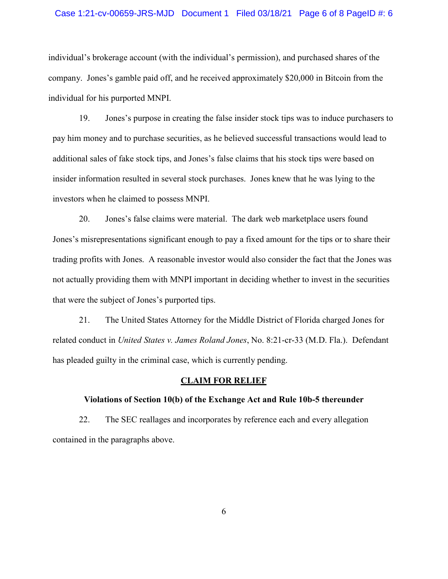### Case 1:21-cv-00659-JRS-MJD Document 1 Filed 03/18/21 Page 6 of 8 PageID #: 6

individual's brokerage account (with the individual's permission), and purchased shares of the company. Jones's gamble paid off, and he received approximately \$20,000 in Bitcoin from the individual for his purported MNPI.

19. Jones's purpose in creating the false insider stock tips was to induce purchasers to pay him money and to purchase securities, as he believed successful transactions would lead to additional sales of fake stock tips, and Jones's false claims that his stock tips were based on insider information resulted in several stock purchases. Jones knew that he was lying to the investors when he claimed to possess MNPI.

20. Jones's false claims were material. The dark web marketplace users found Jones's misrepresentations significant enough to pay a fixed amount for the tips or to share their trading profits with Jones. A reasonable investor would also consider the fact that the Jones was not actually providing them with MNPI important in deciding whether to invest in the securities that were the subject of Jones's purported tips.

21. The United States Attorney for the Middle District of Florida charged Jones for related conduct in *United States v. James Roland Jones*, No. 8:21-cr-33 (M.D. Fla.). Defendant has pleaded guilty in the criminal case, which is currently pending.

### **CLAIM FOR RELIEF**

## **Violations of Section 10(b) of the Exchange Act and Rule 10b-5 thereunder**

22. The SEC reallages and incorporates by reference each and every allegation contained in the paragraphs above.

6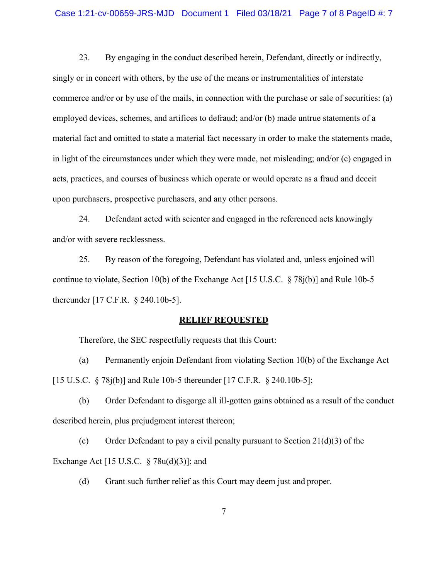### Case 1:21-cv-00659-JRS-MJD Document 1 Filed 03/18/21 Page 7 of 8 PageID #: 7

23. By engaging in the conduct described herein, Defendant, directly or indirectly, singly or in concert with others, by the use of the means or instrumentalities of interstate commerce and/or or by use of the mails, in connection with the purchase or sale of securities: (a) employed devices, schemes, and artifices to defraud; and/or (b) made untrue statements of a material fact and omitted to state a material fact necessary in order to make the statements made, in light of the circumstances under which they were made, not misleading; and/or (c) engaged in acts, practices, and courses of business which operate or would operate as a fraud and deceit upon purchasers, prospective purchasers, and any other persons.

24. Defendant acted with scienter and engaged in the referenced acts knowingly and/or with severe recklessness.

25. By reason of the foregoing, Defendant has violated and, unless enjoined will continue to violate, Section 10(b) of the Exchange Act [15 U.S.C. § 78j(b)] and Rule 10b-5 thereunder [17 C.F.R. § 240.10b-5].

### **RELIEF REQUESTED**

Therefore, the SEC respectfully requests that this Court:

(a) Permanently enjoin Defendant from violating Section 10(b) of the Exchange Act [15 U.S.C. § 78j(b)] and Rule 10b-5 thereunder [17 C.F.R. § 240.10b-5];

(b) Order Defendant to disgorge all ill-gotten gains obtained as a result of the conduct described herein, plus prejudgment interest thereon;

(c) Order Defendant to pay a civil penalty pursuant to Section  $21(d)(3)$  of the Exchange Act [15 U.S.C.  $\S$  78u(d)(3)]; and

(d) Grant such further relief as this Court may deem just and proper.